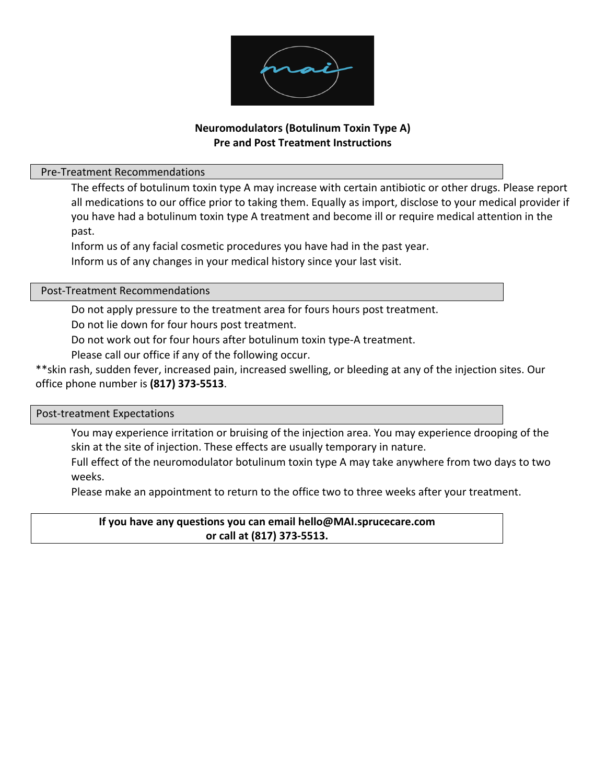

# **Neuromodulators (Botulinum Toxin Type A) Pre and Post Treatment Instructions**

## Pre-Treatment Recommendations

 The effects of botulinum toxin type A may increase with certain antibiotic or other drugs. Please report all medications to our office prior to taking them. Equally as import, disclose to your medical provider if you have had a botulinum toxin type A treatment and become ill or require medical attention in the past.

 Inform us of any facial cosmetic procedures you have had in the past year. Inform us of any changes in your medical history since your last visit.

# Post-Treatment Recommendations

Do not apply pressure to the treatment area for fours hours post treatment.

Do not lie down for four hours post treatment.

Do not work out for four hours after botulinum toxin type-A treatment.

Please call our office if any of the following occur.

\*\*skin rash, sudden fever, increased pain, increased swelling, or bleeding at any of the injection sites. Our office phone number is **(817) 373-5513**.

#### Post-treatment Expectations

 You may experience irritation or bruising of the injection area. You may experience drooping of the skin at the site of injection. These effects are usually temporary in nature.

 Full effect of the neuromodulator botulinum toxin type A may take anywhere from two days to two weeks.

Please make an appointment to return to the office two to three weeks after your treatment.

# **If you have any questions you can email hello@MAI.sprucecare.com or call at (817) 373-5513.**